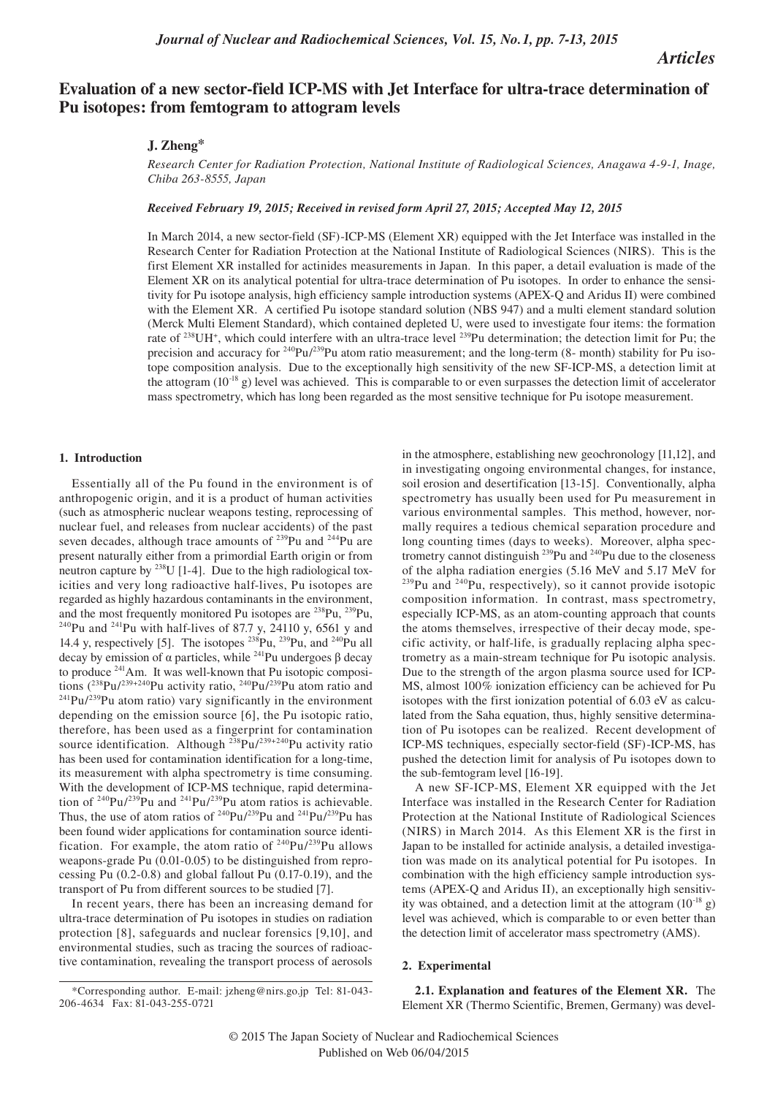# *Articles*

# **Evaluation of a new sector-field ICP-MS with Jet Interface for ultra-trace determination of Pu isotopes: from femtogram to attogram levels**

## **J. Zheng\***

*Research Center for Radiation Protection, National Institute of Radiological Sciences, Anagawa 4-9-1, Inage, Chiba 263-8555, Japan*

*Received February 19, 2015; Received in revised form April 27, 2015; Accepted May 12, 2015*

In March 2014, a new sector-field (SF)-ICP-MS (Element XR) equipped with the Jet Interface was installed in the Research Center for Radiation Protection at the National Institute of Radiological Sciences (NIRS). This is the first Element XR installed for actinides measurements in Japan. In this paper, a detail evaluation is made of the Element XR on its analytical potential for ultra-trace determination of Pu isotopes. In order to enhance the sensitivity for Pu isotope analysis, high efficiency sample introduction systems (APEX-Q and Aridus II) were combined with the Element XR. A certified Pu isotope standard solution (NBS 947) and a multi element standard solution (Merck Multi Element Standard), which contained depleted U, were used to investigate four items: the formation rate of <sup>238</sup>UH<sup>+</sup>, which could interfere with an ultra-trace level <sup>239</sup>Pu determination; the detection limit for Pu; the precision and accuracy for <sup>240</sup>Pu/<sup>239</sup>Pu atom ratio measurement; and the long-term (8- month) stability for Pu isotope composition analysis. Due to the exceptionally high sensitivity of the new SF-ICP-MS, a detection limit at the attogram  $(10^{-18} \text{ g})$  level was achieved. This is comparable to or even surpasses the detection limit of accelerator mass spectrometry, which has long been regarded as the most sensitive technique for Pu isotope measurement.

### **1. Introduction**

Essentially all of the Pu found in the environment is of anthropogenic origin, and it is a product of human activities (such as atmospheric nuclear weapons testing, reprocessing of nuclear fuel, and releases from nuclear accidents) of the past seven decades, although trace amounts of <sup>239</sup>Pu and <sup>244</sup>Pu are present naturally either from a primordial Earth origin or from neutron capture by  $^{238}$ U [1-4]. Due to the high radiological toxicities and very long radioactive half-lives, Pu isotopes are regarded as highly hazardous contaminants in the environment, and the most frequently monitored Pu isotopes are <sup>238</sup>Pu, <sup>239</sup>Pu, <sup>240</sup>Pu and <sup>241</sup>Pu with half-lives of 87.7 y, 24110 y, 6561 y and 14.4 y, respectively [5]. The isotopes  $^{238}Pu$ ,  $^{239}Pu$ , and  $^{240}Pu$  all decay by emission of  $\alpha$  particles, while <sup>241</sup>Pu undergoes  $\beta$  decay to produce <sup>241</sup>Am. It was well-known that Pu isotopic compositions  $(^{238}Pu^{239+240}Pu$  activity ratio,  $^{240}Pu^{239}Pu$  atom ratio and  $t^{241}Pu^{239}Pu$  atom ratio) vary significantly in the environment depending on the emission source [6], the Pu isotopic ratio, therefore, has been used as a fingerprint for contamination source identification. Although  $^{238}Pu^{239+240}Pu$  activity ratio has been used for contamination identification for a long-time, its measurement with alpha spectrometry is time consuming. With the development of ICP-MS technique, rapid determination of  $240\text{Pu}/239\text{Pu}$  and  $241\text{Pu}/239\text{Pu}$  atom ratios is achievable. Thus, the use of atom ratios of  $240 \text{Pu} / 239 \text{Pu}$  and  $241 \text{Pu} / 239 \text{Pu}$  has been found wider applications for contamination source identification. For example, the atom ratio of  $240 \text{Pu} / 239 \text{Pu}$  allows weapons-grade Pu (0.01-0.05) to be distinguished from reprocessing Pu (0.2-0.8) and global fallout Pu (0.17-0.19), and the transport of Pu from different sources to be studied [7].

In recent years, there has been an increasing demand for ultra-trace determination of Pu isotopes in studies on radiation protection [8], safeguards and nuclear forensics [9,10], and environmental studies, such as tracing the sources of radioactive contamination, revealing the transport process of aerosols

in the atmosphere, establishing new geochronology [11,12], and in investigating ongoing environmental changes, for instance, soil erosion and desertification [13-15]. Conventionally, alpha spectrometry has usually been used for Pu measurement in various environmental samples. This method, however, normally requires a tedious chemical separation procedure and long counting times (days to weeks). Moreover, alpha spectrometry cannot distinguish <sup>239</sup>Pu and <sup>240</sup>Pu due to the closeness of the alpha radiation energies (5.16 MeV and 5.17 MeV for  $^{239}$ Pu and  $^{240}$ Pu, respectively), so it cannot provide isotopic composition information. In contrast, mass spectrometry, especially ICP-MS, as an atom-counting approach that counts the atoms themselves, irrespective of their decay mode, specific activity, or half-life, is gradually replacing alpha spectrometry as a main-stream technique for Pu isotopic analysis. Due to the strength of the argon plasma source used for ICP-MS, almost 100% ionization efficiency can be achieved for Pu isotopes with the first ionization potential of 6.03 eV as calculated from the Saha equation, thus, highly sensitive determination of Pu isotopes can be realized. Recent development of ICP-MS techniques, especially sector-field (SF)-ICP-MS, has pushed the detection limit for analysis of Pu isotopes down to the sub-femtogram level [16-19].

A new SF-ICP-MS, Element XR equipped with the Jet Interface was installed in the Research Center for Radiation Protection at the National Institute of Radiological Sciences (NIRS) in March 2014. As this Element XR is the first in Japan to be installed for actinide analysis, a detailed investigation was made on its analytical potential for Pu isotopes. In combination with the high efficiency sample introduction systems (APEX-Q and Aridus II), an exceptionally high sensitivity was obtained, and a detection limit at the attogram  $(10^{-18}$  g) level was achieved, which is comparable to or even better than the detection limit of accelerator mass spectrometry (AMS).

## **2. Experimental**

**2.1. Explanation and features of the Element XR.** The Element XR (Thermo Scientific, Bremen, Germany) was devel-

<sup>\*</sup>Corresponding author. E-mail: jzheng@nirs.go.jp Tel: 81-043- 206-4634 Fax: 81-043-255-0721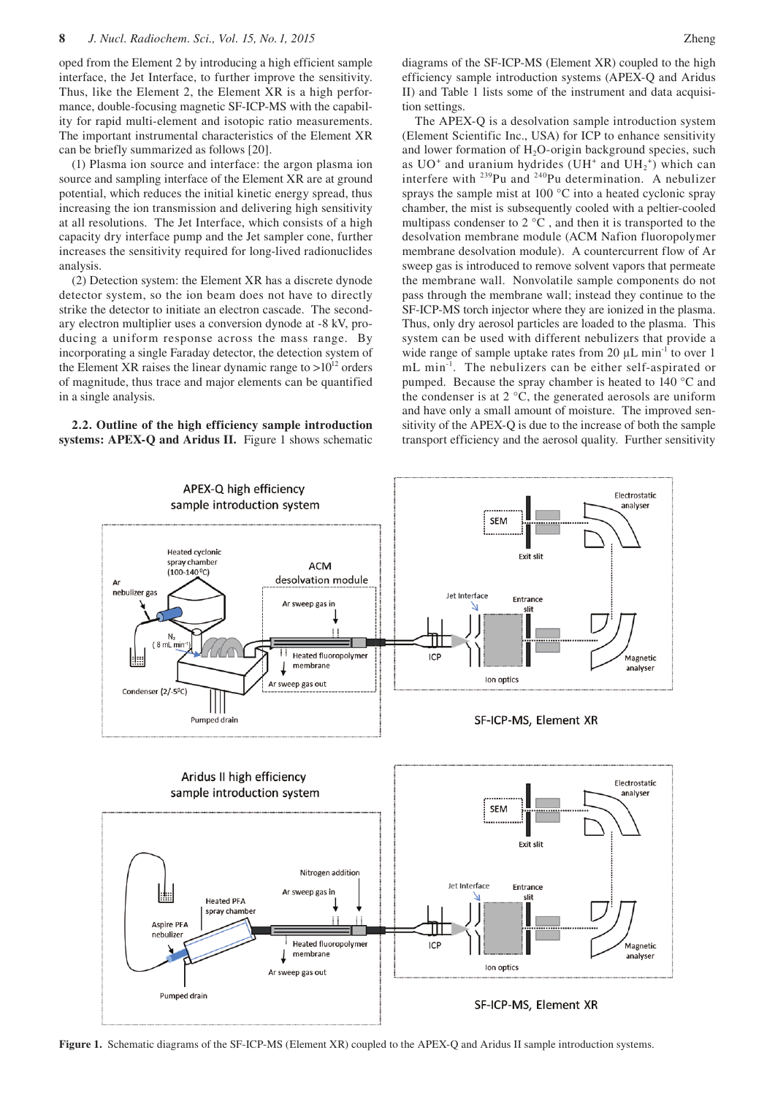oped from the Element 2 by introducing a high efficient sample interface, the Jet Interface, to further improve the sensitivity. Thus, like the Element 2, the Element XR is a high performance, double-focusing magnetic SF-ICP-MS with the capability for rapid multi-element and isotopic ratio measurements. The important instrumental characteristics of the Element XR can be briefly summarized as follows [20].

(1) Plasma ion source and interface: the argon plasma ion source and sampling interface of the Element XR are at ground potential, which reduces the initial kinetic energy spread, thus increasing the ion transmission and delivering high sensitivity at all resolutions. The Jet Interface, which consists of a high capacity dry interface pump and the Jet sampler cone, further increases the sensitivity required for long-lived radionuclides analysis.

(2) Detection system: the Element XR has a discrete dynode detector system, so the ion beam does not have to directly strike the detector to initiate an electron cascade. The secondary electron multiplier uses a conversion dynode at -8 kV, producing a uniform response across the mass range. By incorporating a single Faraday detector, the detection system of the Element XR raises the linear dynamic range to  $>10^{12}$  orders of magnitude, thus trace and major elements can be quantified in a single analysis.

**2.2. Outline of the high efficiency sample introduction systems: APEX-Q and Aridus II.** Figure 1 shows schematic diagrams of the SF-ICP-MS (Element XR) coupled to the high efficiency sample introduction systems (APEX-Q and Aridus II) and Table 1 lists some of the instrument and data acquisition settings.

The APEX-Q is a desolvation sample introduction system (Element Scientific Inc., USA) for ICP to enhance sensitivity and lower formation of  $H_2O$ -origin background species, such as  $UO<sup>+</sup>$  and uranium hydrides (UH<sup>+</sup> and UH<sub>2</sub><sup>+</sup>) which can interfere with  $^{239}$ Pu and  $^{240}$ Pu determination. A nebulizer sprays the sample mist at 100 °C into a heated cyclonic spray chamber, the mist is subsequently cooled with a peltier-cooled multipass condenser to  $2^{\circ}C$ , and then it is transported to the desolvation membrane module (ACM Nafion fluoropolymer membrane desolvation module). A countercurrent flow of Ar sweep gas is introduced to remove solvent vapors that permeate the membrane wall. Nonvolatile sample components do not pass through the membrane wall; instead they continue to the SF-ICP-MS torch injector where they are ionized in the plasma. Thus, only dry aerosol particles are loaded to the plasma. This system can be used with different nebulizers that provide a wide range of sample uptake rates from 20  $\mu$ L min<sup>-1</sup> to over 1 mL min<sup>-1</sup>. The nebulizers can be either self-aspirated or pumped. Because the spray chamber is heated to 140 °C and the condenser is at  $2^{\circ}$ C, the generated aerosols are uniform and have only a small amount of moisture. The improved sensitivity of the APEX-Q is due to the increase of both the sample transport efficiency and the aerosol quality. Further sensitivity



**Figure 1.** Schematic diagrams of the SF-ICP-MS (Element XR) coupled to the APEX-Q and Aridus II sample introduction systems.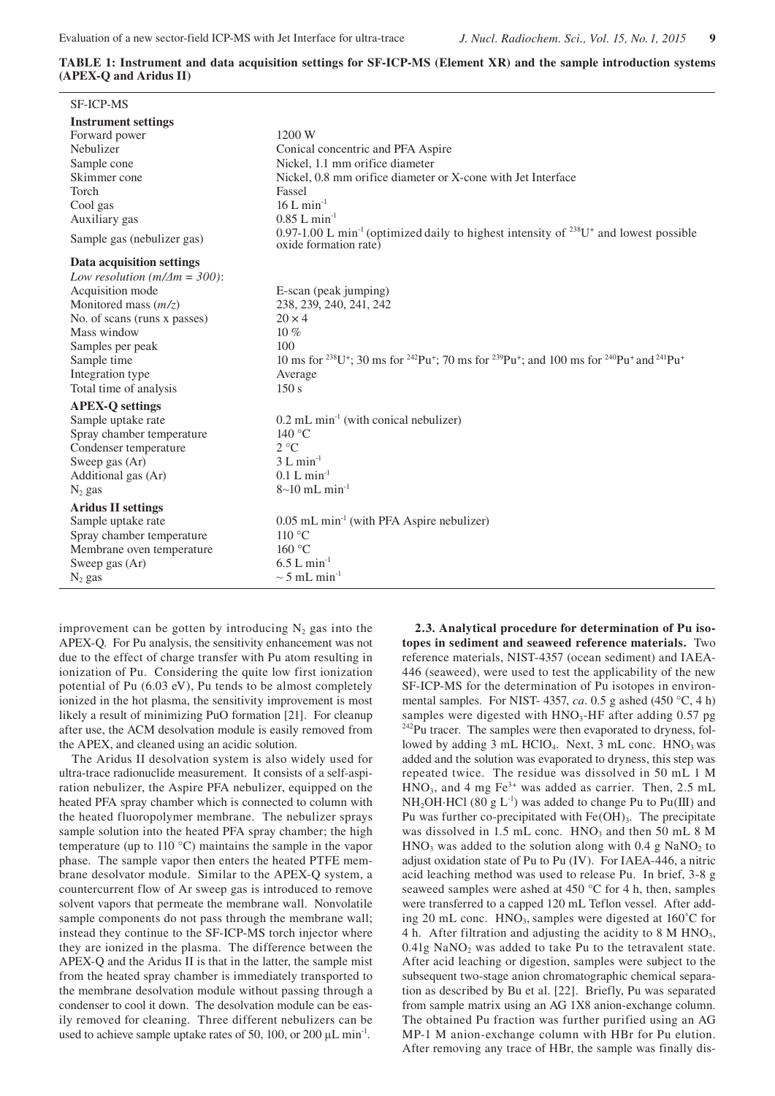**TABLE 1: Instrument and data acquisition settings for SF-ICP-MS (Element XR) and the sample introduction systems (APEX-Q and Aridus II)**

| <b>SF-ICP-MS</b>                                                                                                                                                                                                                                                                                     |                                                                                                                                                                                                                                                                                                                           |
|------------------------------------------------------------------------------------------------------------------------------------------------------------------------------------------------------------------------------------------------------------------------------------------------------|---------------------------------------------------------------------------------------------------------------------------------------------------------------------------------------------------------------------------------------------------------------------------------------------------------------------------|
| <b>Instrument settings</b><br>Forward power<br>Nebulizer<br>Sample cone<br>Skimmer cone<br>Torch<br>Cool gas<br>Auxiliary gas                                                                                                                                                                        | 1200 W<br>Conical concentric and PFA Aspire<br>Nickel, 1.1 mm orifice diameter<br>Nickel, 0.8 mm orifice diameter or X-cone with Jet Interface<br>Fassel<br>$16$ L min <sup>-1</sup><br>$0.85$ L min <sup>-1</sup>                                                                                                        |
| Sample gas (nebulizer gas)                                                                                                                                                                                                                                                                           | 0.97-1.00 L min <sup>-1</sup> (optimized daily to highest intensity of <sup>238</sup> U <sup>+</sup> and lowest possible<br>oxide formation rate)                                                                                                                                                                         |
| Data acquisition settings<br>Low resolution ( $m/\Delta m = 300$ ):<br>Acquisition mode<br>Monitored mass $(m/z)$<br>No. of scans (runs x passes)<br>Mass window<br>Samples per peak<br>Sample time<br>Integration type<br>Total time of analysis                                                    | E-scan (peak jumping)<br>238, 239, 240, 241, 242<br>$20 \times 4$<br>$10\%$<br>100<br>10 ms for <sup>238</sup> U <sup>+</sup> ; 30 ms for <sup>242</sup> Pu <sup>+</sup> ; 70 ms for <sup>239</sup> Pu <sup>+</sup> ; and 100 ms for <sup>240</sup> Pu <sup>+</sup> and <sup>241</sup> Pu <sup>+</sup><br>Average<br>150s |
| <b>APEX-Q settings</b><br>Sample uptake rate<br>Spray chamber temperature<br>Condenser temperature<br>Sweep gas (Ar)<br>Additional gas (Ar)<br>$N_2$ gas<br><b>Aridus II settings</b><br>Sample uptake rate<br>Spray chamber temperature<br>Membrane oven temperature<br>Sweep gas (Ar)<br>$N_2$ gas | $0.2$ mL min <sup>-1</sup> (with conical nebulizer)<br>$140^{\circ}$ C<br>$2^{\circ}C$<br>$3 L min-1$<br>$0.1 L min^{-1}$<br>$8 \sim 10$ mL min <sup>-1</sup><br>$0.05$ mL min <sup>-1</sup> (with PFA Aspire nebulizer)<br>$110^{\circ}$ C<br>160 °C<br>$6.5 L min^{-1}$<br>$\sim$ 5 mL min <sup>-1</sup>                |

improvement can be gotten by introducing  $N_2$  gas into the APEX-Q. For Pu analysis, the sensitivity enhancement was not due to the effect of charge transfer with Pu atom resulting in ionization of Pu. Considering the quite low first ionization potential of Pu (6.03 eV), Pu tends to be almost completely ionized in the hot plasma, the sensitivity improvement is most likely a result of minimizing PuO formation [21]. For cleanup after use, the ACM desolvation module is easily removed from the APEX, and cleaned using an acidic solution.

The Aridus II desolvation system is also widely used for ultra-trace radionuclide measurement. It consists of a self-aspiration nebulizer, the Aspire PFA nebulizer, equipped on the heated PFA spray chamber which is connected to column with the heated fluoropolymer membrane. The nebulizer sprays sample solution into the heated PFA spray chamber; the high temperature (up to 110 °C) maintains the sample in the vapor phase. The sample vapor then enters the heated PTFE membrane desolvator module. Similar to the APEX-Q system, a countercurrent flow of Ar sweep gas is introduced to remove solvent vapors that permeate the membrane wall. Nonvolatile sample components do not pass through the membrane wall; instead they continue to the SF-ICP-MS torch injector where they are ionized in the plasma. The difference between the APEX-Q and the Aridus II is that in the latter, the sample mist from the heated spray chamber is immediately transported to the membrane desolvation module without passing through a condenser to cool it down. The desolvation module can be easily removed for cleaning. Three different nebulizers can be used to achieve sample uptake rates of 50, 100, or 200  $\mu$ L min<sup>-1</sup>.

**2.3. Analytical procedure for determination of Pu isotopes in sediment and seaweed reference materials.** Two reference materials, NIST-4357 (ocean sediment) and IAEA-446 (seaweed), were used to test the applicability of the new SF-ICP-MS for the determination of Pu isotopes in environmental samples. For NIST- 4357, *ca*. 0.5 g ashed (450 °C, 4 h) samples were digested with  $HNO<sub>3</sub>-HF$  after adding 0.57 pg <sup>242</sup>Pu tracer. The samples were then evaporated to dryness, followed by adding  $3 \text{ mL HClO}_4$ . Next,  $3 \text{ mL conc. HNO}_3$  was added and the solution was evaporated to dryness, this step was repeated twice. The residue was dissolved in 50 mL 1 M  $\text{HNO}_3$ , and 4 mg Fe<sup>3+</sup> was added as carrier. Then, 2.5 mL  $NH<sub>2</sub>OH·HCl$  (80 g L<sup>-1</sup>) was added to change Pu to Pu(III) and Pu was further co-precipitated with  $Fe(OH)_{3}$ . The precipitate was dissolved in 1.5 mL conc.  $HNO<sub>3</sub>$  and then 50 mL 8 M  $HNO<sub>3</sub>$  was added to the solution along with 0.4 g NaNO<sub>2</sub> to adjust oxidation state of Pu to Pu (IV). For IAEA-446, a nitric acid leaching method was used to release Pu. In brief, 3-8 g seaweed samples were ashed at 450 °C for 4 h, then, samples were transferred to a capped 120 mL Teflon vessel. After adding 20 mL conc.  $HNO<sub>3</sub>$ , samples were digested at 160 $^{\circ}$ C for 4 h. After filtration and adjusting the acidity to  $8 \text{ M HNO}_3$ ,  $0.41g$  NaNO<sub>2</sub> was added to take Pu to the tetravalent state. After acid leaching or digestion, samples were subject to the subsequent two-stage anion chromatographic chemical separation as described by Bu et al. [22]. Briefly, Pu was separated from sample matrix using an AG 1X8 anion-exchange column. The obtained Pu fraction was further purified using an AG MP-1 M anion-exchange column with HBr for Pu elution. After removing any trace of HBr, the sample was finally dis-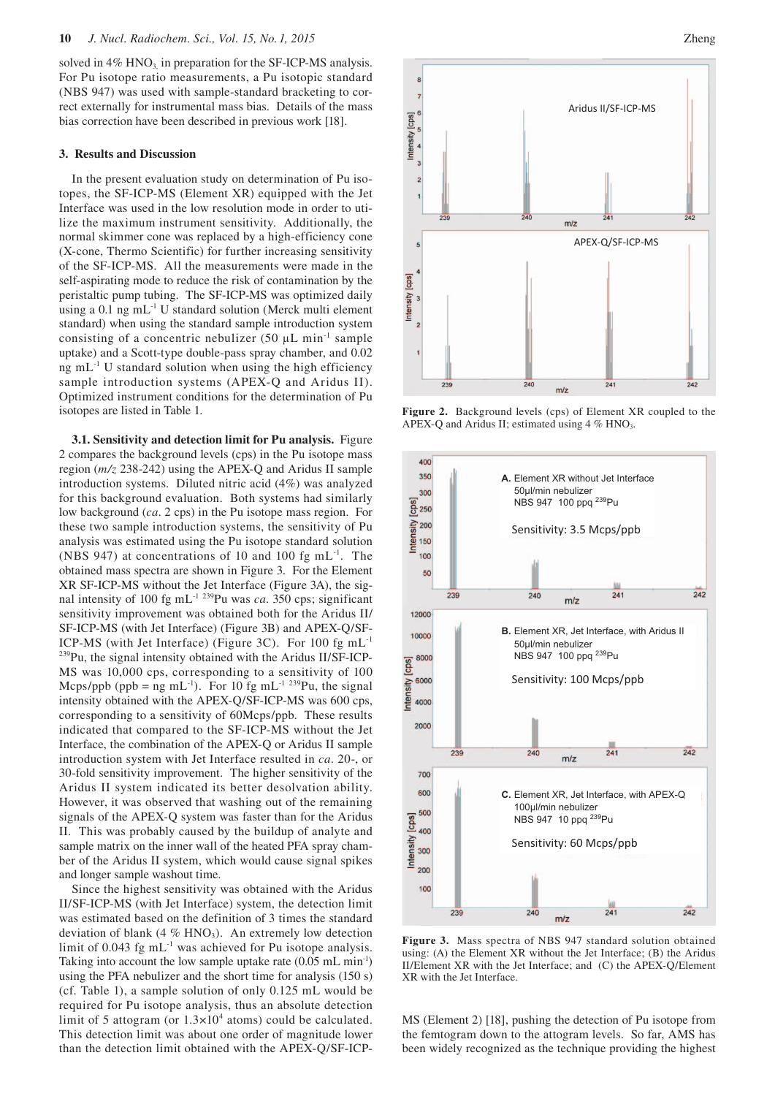solved in 4% HNO<sub>3</sub>, in preparation for the SF-ICP-MS analysis. For Pu isotope ratio measurements, a Pu isotopic standard (NBS 947) was used with sample-standard bracketing to correct externally for instrumental mass bias. Details of the mass bias correction have been described in previous work [18].

### **3. Results and Discussion**

In the present evaluation study on determination of Pu isotopes, the SF-ICP-MS (Element XR) equipped with the Jet Interface was used in the low resolution mode in order to utilize the maximum instrument sensitivity. Additionally, the normal skimmer cone was replaced by a high-efficiency cone (X-cone, Thermo Scientific) for further increasing sensitivity of the SF-ICP-MS. All the measurements were made in the self-aspirating mode to reduce the risk of contamination by the peristaltic pump tubing. The SF-ICP-MS was optimized daily using a  $0.1$  ng mL<sup>-1</sup> U standard solution (Merck multi element standard) when using the standard sample introduction system consisting of a concentric nebulizer (50  $\mu$ L min<sup>-1</sup> sample uptake) and a Scott-type double-pass spray chamber, and 0.02 ng m $L<sup>-1</sup>$  U standard solution when using the high efficiency sample introduction systems (APEX-Q and Aridus II). Optimized instrument conditions for the determination of Pu isotopes are listed in Table 1.

**3.1. Sensitivity and detection limit for Pu analysis.** Figure 2 compares the background levels (cps) in the Pu isotope mass region (*m/z* 238-242) using the APEX-Q and Aridus II sample introduction systems. Diluted nitric acid (4%) was analyzed for this background evaluation. Both systems had similarly low background (*ca*. 2 cps) in the Pu isotope mass region. For these two sample introduction systems, the sensitivity of Pu analysis was estimated using the Pu isotope standard solution (NBS 947) at concentrations of 10 and 100 fg mL $^{-1}$ . The obtained mass spectra are shown in Figure 3. For the Element XR SF-ICP-MS without the Jet Interface (Figure 3A), the signal intensity of 100 fg mL<sup>-1 239</sup>Pu was *ca*. 350 cps; significant sensitivity improvement was obtained both for the Aridus II/ SF-ICP-MS (with Jet Interface) (Figure 3B) and APEX-Q/SF-ICP-MS (with Jet Interface) (Figure 3C). For 100 fg mL-1 239Pu, the signal intensity obtained with the Aridus II/SF-ICP-MS was 10,000 cps, corresponding to a sensitivity of 100 Mcps/ppb (ppb = ng mL<sup>-1</sup>). For 10 fg mL<sup>-1 239</sup>Pu, the signal intensity obtained with the APEX-Q/SF-ICP-MS was 600 cps, corresponding to a sensitivity of 60Mcps/ppb. These results indicated that compared to the SF-ICP-MS without the Jet Interface, the combination of the APEX-Q or Aridus II sample introduction system with Jet Interface resulted in *ca*. 20-, or 30-fold sensitivity improvement. The higher sensitivity of the Aridus II system indicated its better desolvation ability. However, it was observed that washing out of the remaining signals of the APEX-Q system was faster than for the Aridus II. This was probably caused by the buildup of analyte and sample matrix on the inner wall of the heated PFA spray chamber of the Aridus II system, which would cause signal spikes and longer sample washout time.

Since the highest sensitivity was obtained with the Aridus II/SF-ICP-MS (with Jet Interface) system, the detection limit was estimated based on the definition of 3 times the standard deviation of blank (4  $\%$  HNO<sub>3</sub>). An extremely low detection limit of 0.043 fg  $mL^{-1}$  was achieved for Pu isotope analysis. Taking into account the low sample uptake rate  $(0.05 \text{ mL min}^{-1})$ using the PFA nebulizer and the short time for analysis (150 s) (cf. Table 1), a sample solution of only 0.125 mL would be required for Pu isotope analysis, thus an absolute detection limit of 5 attogram (or  $1.3 \times 10^4$  atoms) could be calculated. This detection limit was about one order of magnitude lower than the detection limit obtained with the APEX-Q/SF-ICP-



**Figure 2.** Background levels (cps) of Element XR coupled to the APEX-O and Aridus II; estimated using  $4\%$  HNO<sub>3</sub>.



**Figure 3.** Mass spectra of NBS 947 standard solution obtained using: (A) the Element XR without the Jet Interface; (B) the Aridus II/Element XR with the Jet Interface; and (C) the APEX-Q/Element XR with the Jet Interface.

MS (Element 2) [18], pushing the detection of Pu isotope from the femtogram down to the attogram levels. So far, AMS has been widely recognized as the technique providing the highest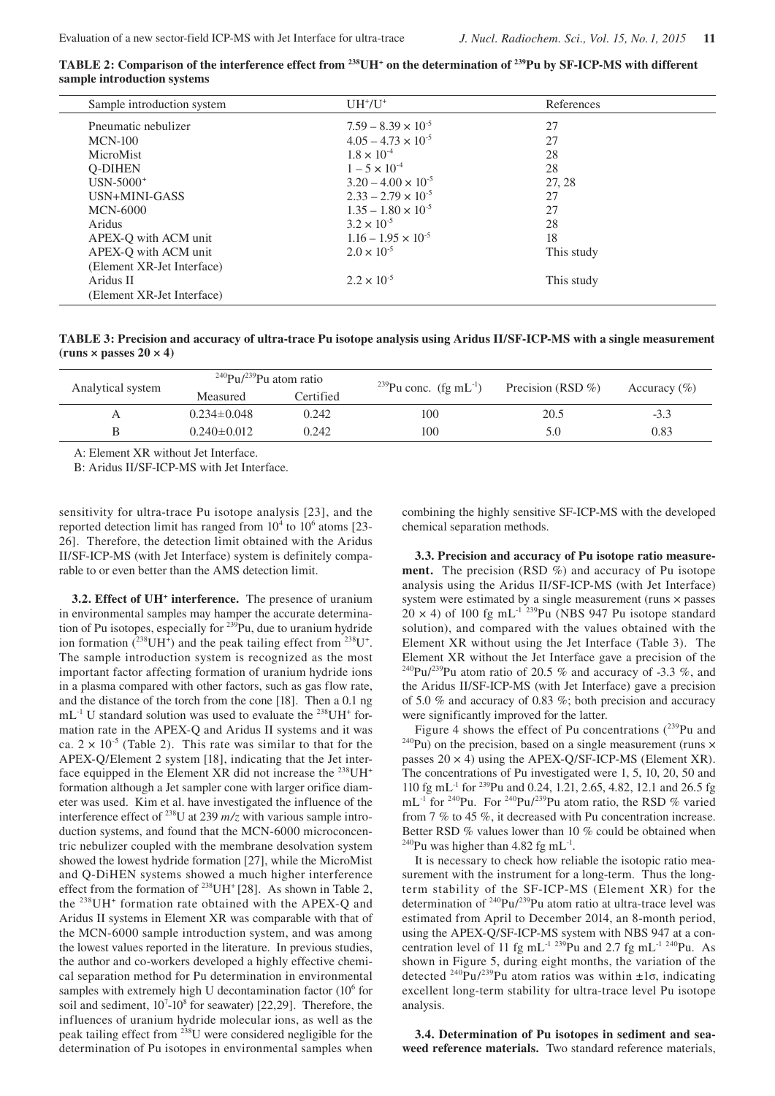TABLE 2: Comparison of the interference effect from <sup>238</sup>UH<sup>+</sup> on the determination of <sup>239</sup>Pu by SF-ICP-MS with different **sample introduction systems**

| Sample introduction system | $UH^+/U^+$                   | References |  |
|----------------------------|------------------------------|------------|--|
| Pneumatic nebulizer        | $7.59 - 8.39 \times 10^{-5}$ | 27         |  |
| $MCN-100$                  | $4.05 - 4.73 \times 10^{-5}$ | 27         |  |
| MicroMist                  | $1.8 \times 10^{-4}$         | 28         |  |
| <b>O-DIHEN</b>             | $1 - 5 \times 10^{-4}$       | 28         |  |
| $USN-5000^+$               | $3.20 - 4.00 \times 10^{-5}$ | 27.28      |  |
| USN+MINI-GASS              | $2.33 - 2.79 \times 10^{-5}$ | 27         |  |
| <b>MCN-6000</b>            | $1.35 - 1.80 \times 10^{-5}$ | 27         |  |
| Aridus                     | $3.2 \times 10^{-5}$         | 28         |  |
| APEX-O with ACM unit       | $1.16 - 1.95 \times 10^{-5}$ | 18         |  |
| APEX-Q with ACM unit       | $2.0 \times 10^{-5}$         | This study |  |
| (Element XR-Jet Interface) |                              |            |  |
| Aridus II                  | $2.2 \times 10^{-5}$         | This study |  |
| (Element XR-Jet Interface) |                              |            |  |

**TABLE 3: Precision and accuracy of ultra-trace Pu isotope analysis using Aridus II/SF-ICP-MS with a single measurement**   $(runs \times passes 20 \times 4)$ 

| Analytical system | <sup>240</sup> Pu/ <sup>239</sup> Pu atom ratio |           | <sup>239</sup> Pu conc. (fg mL <sup>-1</sup> ) | Precision (RSD $\%$ ) |                  |
|-------------------|-------------------------------------------------|-----------|------------------------------------------------|-----------------------|------------------|
|                   | Measured                                        | Certified |                                                |                       | Accuracy $(\% )$ |
| А                 | $0.234 \pm 0.048$                               | 0.242     | 100                                            | 20.5                  | $-3.3$           |
| B                 | $0.240 \pm 0.012$                               | 0.242     | 100                                            | 5.0                   | 0.83             |
|                   |                                                 |           |                                                |                       |                  |

A: Element XR without Jet Interface.

B: Aridus II/SF-ICP-MS with Jet Interface.

sensitivity for ultra-trace Pu isotope analysis [23], and the reported detection limit has ranged from  $10<sup>4</sup>$  to  $10<sup>6</sup>$  atoms [23-26]. Therefore, the detection limit obtained with the Aridus II/SF-ICP-MS (with Jet Interface) system is definitely comparable to or even better than the AMS detection limit.

**3.2. Effect of UH+ interference.** The presence of uranium in environmental samples may hamper the accurate determination of Pu isotopes, especially for <sup>239</sup>Pu, due to uranium hydride ion formation  $(^{238}UH^+)$  and the peak tailing effect from  $^{238}U^+$ . The sample introduction system is recognized as the most important factor affecting formation of uranium hydride ions in a plasma compared with other factors, such as gas flow rate, and the distance of the torch from the cone [18]. Then a 0.1 ng  $mL^{-1}$  U standard solution was used to evaluate the <sup>238</sup>UH<sup>+</sup> formation rate in the APEX-Q and Aridus II systems and it was ca.  $2 \times 10^{-5}$  (Table 2). This rate was similar to that for the APEX-Q/Element 2 system [18], indicating that the Jet interface equipped in the Element XR did not increase the  $^{238}$ UH<sup>+</sup> formation although a Jet sampler cone with larger orifice diameter was used. Kim et al. have investigated the influence of the interference effect of 238U at 239 *m/z* with various sample introduction systems, and found that the MCN-6000 microconcentric nebulizer coupled with the membrane desolvation system showed the lowest hydride formation [27], while the MicroMist and Q-DiHEN systems showed a much higher interference effect from the formation of <sup>238</sup>UH<sup>+</sup> [28]. As shown in Table 2, the  $^{238}$ UH<sup>+</sup> formation rate obtained with the APEX-Q and Aridus II systems in Element XR was comparable with that of the MCN-6000 sample introduction system, and was among the lowest values reported in the literature. In previous studies, the author and co-workers developed a highly effective chemical separation method for Pu determination in environmental samples with extremely high U decontamination factor  $(10^6$  for soil and sediment,  $10^7 \text{-} 10^8$  for seawater) [22,29]. Therefore, the influences of uranium hydride molecular ions, as well as the peak tailing effect from 238U were considered negligible for the determination of Pu isotopes in environmental samples when

combining the highly sensitive SF-ICP-MS with the developed chemical separation methods.

**3.3. Precision and accuracy of Pu isotope ratio measurement.** The precision (RSD %) and accuracy of Pu isotope analysis using the Aridus II/SF-ICP-MS (with Jet Interface) system were estimated by a single measurement (runs × passes  $20 \times 4$ ) of 100 fg mL<sup>-1</sup><sup>239</sup>Pu (NBS 947 Pu isotope standard solution), and compared with the values obtained with the Element XR without using the Jet Interface (Table 3). The Element XR without the Jet Interface gave a precision of the <sup>240</sup>Pu/<sup>239</sup>Pu atom ratio of 20.5 % and accuracy of -3.3 %, and the Aridus II/SF-ICP-MS (with Jet Interface) gave a precision of 5.0 % and accuracy of 0.83 %; both precision and accuracy

were significantly improved for the latter.<br>Figure 4 shows the effect of Pu concentrations  $(^{239}Pu$  and  $^{240}Pu$ ) on the precision, based on a single measurement (runs  $\times$ passes  $20 \times 4$ ) using the APEX-Q/SF-ICP-MS (Element XR). The concentrations of Pu investigated were 1, 5, 10, 20, 50 and 110 fg mL-1 for 239Pu and 0.24, 1.21, 2.65, 4.82, 12.1 and 26.5 fg mL<sup>-1</sup> for <sup>240</sup>Pu. For <sup>240</sup>Pu/<sup>239</sup>Pu atom ratio, the RSD % varied from 7 % to 45 %, it decreased with Pu concentration increase. Better RSD % values lower than 10 % could be obtained when <sup>240</sup>Pu was higher than 4.82 fg mL<sup>-1</sup>.

It is necessary to check how reliable the isotopic ratio measurement with the instrument for a long-term. Thus the longterm stability of the SF-ICP-MS (Element XR) for the determination of 240Pu/239Pu atom ratio at ultra-trace level was estimated from April to December 2014, an 8-month period, using the APEX-Q/SF-ICP-MS system with NBS 947 at a concentration level of 11 fg mL<sup>-1 239</sup>Pu and 2.7 fg mL<sup>-1 240</sup>Pu. As shown in Figure 5, during eight months, the variation of the detected <sup>240</sup>Pu/<sup>239</sup>Pu atom ratios was within  $\pm 1\sigma$ , indicating excellent long-term stability for ultra-trace level Pu isotope analysis.

**3.4. Determination of Pu isotopes in sediment and seaweed reference materials.** Two standard reference materials,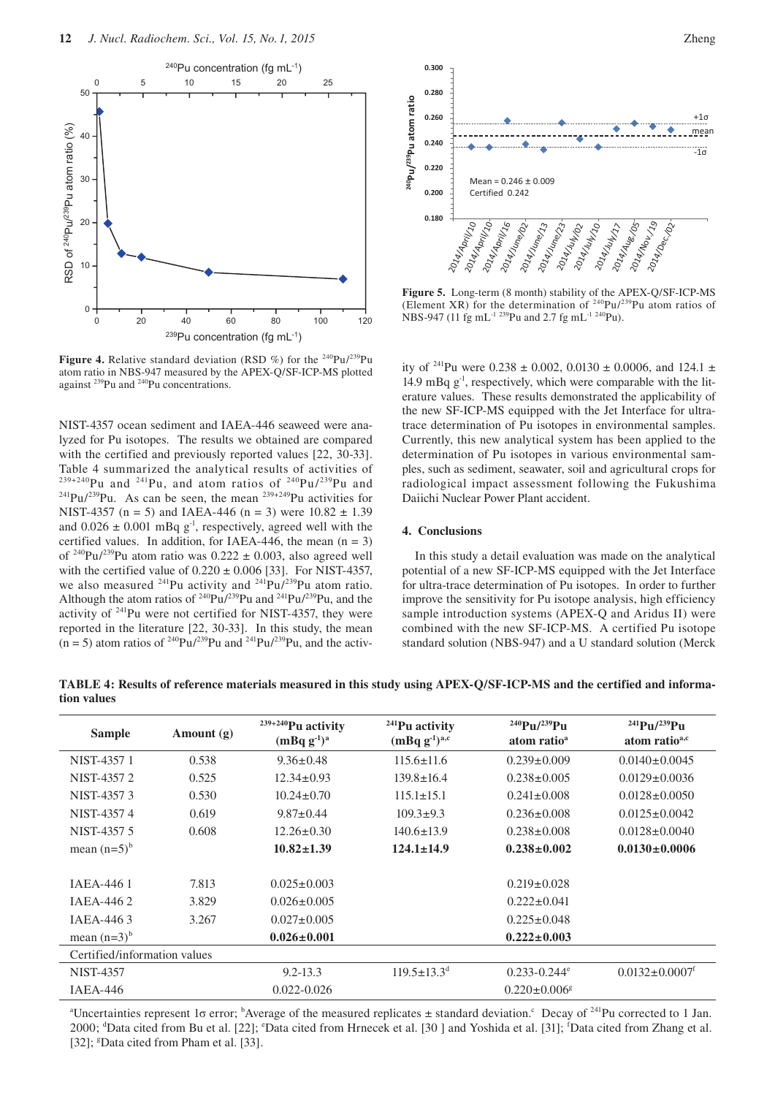

**Figure 4.** Relative standard deviation (RSD %) for the <sup>240</sup>Pu/<sup>239</sup>Pu atom ratio in NBS-947 measured by the APEX-Q/SF-ICP-MS plotted against 239Pu and 240Pu concentrations.

NIST-4357 ocean sediment and IAEA-446 seaweed were analyzed for Pu isotopes. The results we obtained are compared with the certified and previously reported values [22, 30-33]. Table 4 summarized the analytical results of activities of  $239+240$ Pu and  $241$ Pu, and atom ratios of  $240$ Pu/ $239$ Pu and <sup>241</sup>Pu/<sup>239</sup>Pu. As can be seen, the mean <sup>239+249</sup>Pu activities for NIST-4357 (n = 5) and IAEA-446 (n = 3) were  $10.82 \pm 1.39$ and  $0.026 \pm 0.001$  mBq g<sup>-1</sup>, respectively, agreed well with the certified values. In addition, for IAEA-446, the mean  $(n = 3)$ of <sup>240</sup>Pu/<sup>239</sup>Pu atom ratio was  $0.222 \pm 0.003$ , also agreed well with the certified value of  $0.220 \pm 0.006$  [33]. For NIST-4357, we also measured  $^{241}$ Pu activity and  $^{241}$ Pu/ $^{239}$ Pu atom ratio. Although the atom ratios of  $240 \text{Pu} / 239 \text{Pu}$  and  $241 \text{Pu} / 239 \text{Pu}$ , and the activity of  $241$ Pu were not certified for NIST-4357, they were reported in the literature [22, 30-33]. In this study, the mean  $(n = 5)$  atom ratios of <sup>240</sup>Pu/<sup>239</sup>Pu and <sup>241</sup>Pu/<sup>239</sup>Pu, and the activ-



**Figure 5.** Long-term (8 month) stability of the APEX-Q/SF-ICP-MS (Element XR) for the determination of  $240$ Pu/ $239$ Pu atom ratios of NBS-947 (11 fg mL<sup>-1 239</sup>Pu and 2.7 fg mL<sup>-1 240</sup>Pu).

ity of <sup>241</sup>Pu were 0.238  $\pm$  0.002, 0.0130  $\pm$  0.0006, and 124.1  $\pm$ 14.9 mBq  $g<sup>-1</sup>$ , respectively, which were comparable with the literature values. These results demonstrated the applicability of the new SF-ICP-MS equipped with the Jet Interface for ultratrace determination of Pu isotopes in environmental samples. Currently, this new analytical system has been applied to the determination of Pu isotopes in various environmental samples, such as sediment, seawater, soil and agricultural crops for radiological impact assessment following the Fukushima Daiichi Nuclear Power Plant accident.

#### **4. Conclusions**

In this study a detail evaluation was made on the analytical potential of a new SF-ICP-MS equipped with the Jet Interface for ultra-trace determination of Pu isotopes. In order to further improve the sensitivity for Pu isotope analysis, high efficiency sample introduction systems (APEX-Q and Aridus II) were combined with the new SF-ICP-MS. A certified Pu isotope standard solution (NBS-947) and a U standard solution (Merck

**TABLE 4: Results of reference materials measured in this study using APEX-Q/SF-ICP-MS and the certified and information values**

| <b>Sample</b>                | Amount $(g)$ | $239+240$ Pu activity<br>$(mBq g-1)a$ | $241$ Pu activity<br>$(mBq g^{-1})^{a,c}$ | $^{240}Pu/^{239}Pu$<br>atom ratio <sup>a</sup> | $^{241}$ Pu/ $^{239}$ Pu<br>atom ratio <sup>a,c</sup> |  |
|------------------------------|--------------|---------------------------------------|-------------------------------------------|------------------------------------------------|-------------------------------------------------------|--|
| NIST-4357 1                  | 0.538        | $9.36 \pm 0.48$                       | $115.6 \pm 11.6$                          | $0.239 \pm 0.009$                              | $0.0140 \pm 0.0045$                                   |  |
| NIST-4357 2                  | 0.525        | $12.34 \pm 0.93$                      | $139.8 \pm 16.4$                          | $0.238 \pm 0.005$                              | $0.0129 \pm 0.0036$                                   |  |
| NIST-43573                   | 0.530        | $10.24 \pm 0.70$                      | $115.1 \pm 15.1$                          | $0.241 \pm 0.008$                              | $0.0128 \pm 0.0050$                                   |  |
| NIST-43574                   | 0.619        | $9.87 \pm 0.44$                       | $109.3 \pm 9.3$                           | $0.236 \pm 0.008$                              | $0.0125 \pm 0.0042$                                   |  |
| NIST-4357 5                  | 0.608        | $12.26 \pm 0.30$                      | $140.6 \pm 13.9$                          | $0.238 \pm 0.008$                              | $0.0128 \pm 0.0040$                                   |  |
| mean $(n=5)^{b}$             |              | $10.82 \pm 1.39$                      | $124.1 \pm 14.9$                          | $0.238 \pm 0.002$                              | $0.0130 \pm 0.0006$                                   |  |
|                              |              |                                       |                                           |                                                |                                                       |  |
| <b>IAEA-4461</b>             | 7.813        | $0.025 \pm 0.003$                     |                                           | $0.219 \pm 0.028$                              |                                                       |  |
| <b>IAEA-4462</b>             | 3.829        | $0.026 \pm 0.005$                     |                                           | $0.222 \pm 0.041$                              |                                                       |  |
| IAEA-4463                    | 3.267        | $0.027 \pm 0.005$                     |                                           | $0.225 \pm 0.048$                              |                                                       |  |
| mean $(n=3)^b$               |              | $0.026 \pm 0.001$                     |                                           | $0.222 \pm 0.003$                              |                                                       |  |
| Certified/information values |              |                                       |                                           |                                                |                                                       |  |
| <b>NIST-4357</b>             |              | $9.2 - 13.3$                          | $119.5 \pm 13.3^{\circ}$                  | $0.233 - 0.244$ <sup>e</sup>                   | $0.0132 \pm 0.0007$ <sup>t</sup>                      |  |
| $IAEA-446$                   |              | $0.022 - 0.026$                       |                                           | $0.220 \pm 0.006$ <sup>g</sup>                 |                                                       |  |

<sup>a</sup> Uncertainties represent 1σ error; <sup>b</sup> Average of the measured replicates ± standard deviation.<sup>c</sup> Decay of <sup>241</sup>Pu corrected to 1 Jan. 2000; <sup>d</sup>Data cited from Bu et al. [22]; °Data cited from Hrnecek et al. [30 ] and Yoshida et al. [31]; <sup>f</sup>Data cited from Zhang et al. [32]; <sup>g</sup>Data cited from Pham et al. [33].